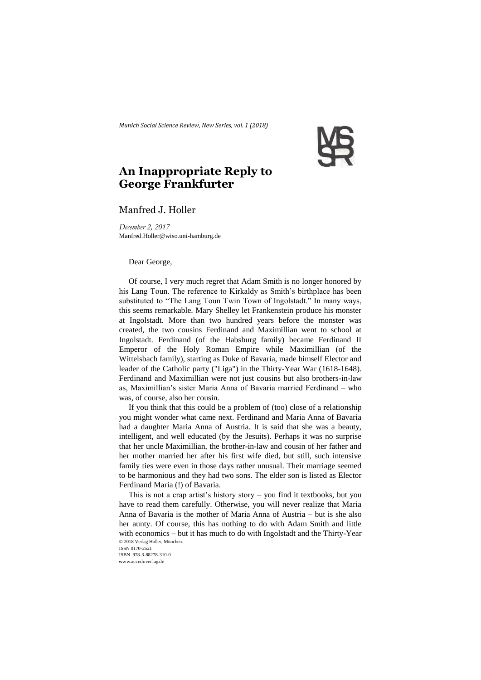*Munich Social Science Review, New Series, vol. 1 (2018)* 



## **An Inappropriate Reply to George Frankfurter**

## Manfred J. Holler

*December 2, 2017* Manfred.Holler@wiso.uni-hamburg.de

## Dear George,

Of course, I very much regret that Adam Smith is no longer honored by his Lang Toun. The reference to Kirkaldy as Smith's birthplace has been substituted to "The Lang Toun Twin Town of Ingolstadt." In many ways, this seems remarkable. Mary Shelley let Frankenstein produce his monster at Ingolstadt. More than two hundred years before the monster was created, the two cousins Ferdinand and Maximillian went to school at Ingolstadt. Ferdinand (of the Habsburg family) became Ferdinand II Emperor of the Holy Roman Empire while Maximillian (of the Wittelsbach family), starting as Duke of Bavaria, made himself Elector and leader of the Catholic party ("Liga") in the Thirty-Year War (1618-1648). Ferdinand and Maximillian were not just cousins but also brothers-in-law as, Maximillian's sister Maria Anna of Bavaria married Ferdinand – who was, of course, also her cousin.

If you think that this could be a problem of (too) close of a relationship you might wonder what came next. Ferdinand and Maria Anna of Bavaria had a daughter Maria Anna of Austria. It is said that she was a beauty, intelligent, and well educated (by the Jesuits). Perhaps it was no surprise that her uncle Maximillian, the brother-in-law and cousin of her father and her mother married her after his first wife died, but still, such intensive family ties were even in those days rather unusual. Their marriage seemed to be harmonious and they had two sons. The elder son is listed as Elector Ferdinand Maria (!) of Bavaria.

© 2018 Verlag Holler, München. ISSN 0170-2521 This is not a crap artist's history story – you find it textbooks, but you have to read them carefully. Otherwise, you will never realize that Maria Anna of Bavaria is the mother of Maria Anna of Austria – but is she also her aunty. Of course, this has nothing to do with Adam Smith and little with economics – but it has much to do with Ingolstadt and the Thirty-Year

ISBN 978-3-88278-310-0 www.accedoverlag.de